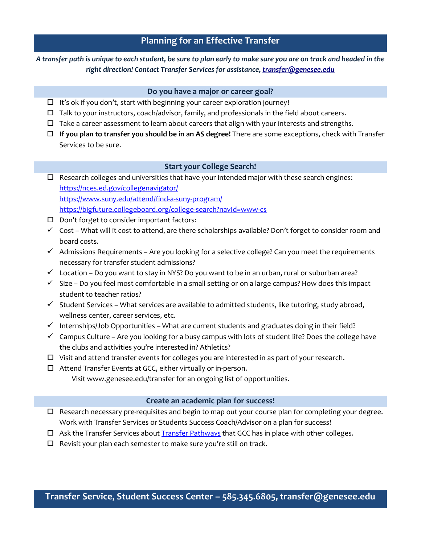# **Planning for an Effective Transfer**

*A transfer path is unique to each student, be sure to plan early to make sure you are on track and headed in the right direction! Contact Transfer Services for assistance, [transfer@genesee.edu](mailto:transfer@genesee.edu)* 

#### **Do you have a major or career goal?**

- $\Box$  It's ok if you don't, start with beginning your career exploration journey!
- $\Box$  Talk to your instructors, coach/advisor, family, and professionals in the field about careers.
- $\Box$  Take a career assessment to learn about careers that align with your interests and strengths.
- **If you plan to transfer you should be in an AS degree!** There are some exceptions, check with Transfer Services to be sure.

### **Start your College Search!**

- $\square$  Research colleges and universities that have your intended major with these search engines: <https://nces.ed.gov/collegenavigator/> <https://www.suny.edu/attend/find-a-suny-program/> <https://bigfuture.collegeboard.org/college-search?navId=www-cs>
- $\Box$  Don't forget to consider important factors:
- $\checkmark$  Cost What will it cost to attend, are there scholarships available? Don't forget to consider room and board costs.
- $\checkmark$  Admissions Requirements Are you looking for a selective college? Can you meet the requirements necessary for transfer student admissions?
- $\checkmark$  Location Do you want to stay in NYS? Do you want to be in an urban, rural or suburban area?
- $\checkmark$  Size Do you feel most comfortable in a small setting or on a large campus? How does this impact student to teacher ratios?
- $\checkmark$  Student Services What services are available to admitted students, like tutoring, study abroad, wellness center, career services, etc.
- $\checkmark$  Internships/Job Opportunities What are current students and graduates doing in their field?
- $\checkmark$  Campus Culture Are you looking for a busy campus with lots of student life? Does the college have the clubs and activities you're interested in? Athletics?
- $\Box$  Visit and attend transfer events for colleges you are interested in as part of your research.
- □ Attend Transfer Events at GCC, either virtually or in-person.

Visit www.genesee.edu/transfer for an ongoing list of opportunities.

#### **Create an academic plan for success!**

- $\Box$  Research necessary pre-requisites and begin to map out your course plan for completing your degree. Work with Transfer Services or Students Success Coach/Advisor on a plan for success!
- $\Box$  Ask the Transfer Services about [Transfer Pathways](https://www.genesee.edu/home/offices/transfer/transfer-agreements/articulation-agreements/) that GCC has in place with other colleges.
- $\Box$  Revisit your plan each semester to make sure you're still on track.